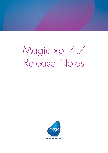# Magic xpi 4.7 Release Notes

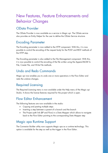# New Features, Feature Enhancements and Behavior Changes

# OData Provider

The OData Provider is now available as a service in Magic xpi. The OData service also provides an Entity Helper for the user to define the OData Service structure.

# Encoding Parameter

The Encoding parameter is now added to the HTTP component. With this, it is now possible to control the encoding of the request body for the POST and REST methods of the HTTP step.

The Encoding parameter is also added to the File Management component. With this, it is now possible to control the encoding of the file written using the Append BLOB To File, Create File, and Write File methods.

# Undo and Redo Commands

Magic xpi now enables you to undo one or more operations in the Flow Editor and redo the undone changes.

# Required Licensing

The Required Licensing menu is now available under the Help menu of the Magic xpi Studio. It shows the license features required for the project which is open.

# Flow Editor Enhancement

The following features are now available in the studio:

- Copying and pasting multiple steps
- Inserting a step between a parent of a branch and the branch
- The Project path link (BP and Flow) in a Data Mapper which allows to navigate back to the Flow Editor pointing to the corresponding Data Mapper step

# Magic xpa Runtime Support

The Connector Builder utility now supports Magic xpa as a runtime technology. This option is available for the step as well as the trigger in the Flow Editor.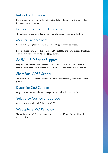# Installation Upgrade

It is now possible to upgrade the existing installation of Magic xpi 4.5 and higher to the Magic xpi 4.7 version.

# Solution Explorer Icon Indication

The Solution Explorer now displays new icons to indicate the state of the flow.

## Monitor Enhancements

For the Activity Log table in Magic Monitor, a Step column was added.

For the Filtered Activity Log table, Step, FSID, Root FSID and Flow Request ID columns were added along with an Attached Blob button.

# SAPB1 – SLD Server Support

Magic xpi now offers SAPB1 support for SLD Server. A new property added to the resource allows the user to select between the License Server and the SLD Server.

# SharePoint ADFS Support

The SharePoint Online connector now supports Active Directory Federation Services (ADFS).

# Dynamics 365 Support

Magic xpi was tested and is now compatible to work with Dynamics 365.

# Salesforce Connector Upgrade

Magic xpi now works with Salesforce API 39.

# WebSphere MQ Resource

The WebSphere MQ Resource now supports the User ID and Password based authentication.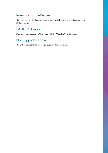# InventoryTransferRequest

The InventoryTransferRequest object is now available as a part of the Magic xpi Objects support.

# SAPB1 9.3 support

Magic xpi now supports SAP B1 9.3 with the MSSQL 2016 database.

# Non-supported Feature

The SNMP component is no longer supported in Magic xpi.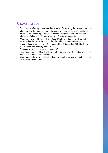# Known Issues

- $\degree$  If a project is referring to files outside the project folder using the relative path, then after migration the references are not restored in the newly created projects. To restore the references, open and save all Data Mappers that use the external references. To find such Data Mappers, run Checker on the project.
- $\bullet$ When sending an HTTP request with Body (POST/PUT), the content type and encoding header should be specified and should match the body content. For example, in case we send a POST request with UTF-8 encoded JSON body, we should specify the following header:

Content-type: application/json; charset=utf-8

- $\degree$  Since Magic xpi 4.7, if the default value of a variable is used, then the spaces will be trimmed from the variable value.
- Since Magic xpi 4.7, at runtime, the default value of a variable will be trimmed as per the length defined for it.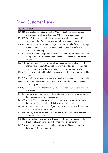# Fixed Customer Issues

| QCR # | Description                                                                          |
|-------|--------------------------------------------------------------------------------------|
|       | 132015 WS Deployment failed when the Web Service Server resource used                |
|       | environment variables for the server URL, user and password.                         |
|       | 132080 The "Object class violation" error was thrown when using the "@"              |
|       | character in the LDAP connection string for assigning a user to a group.             |
|       | 136870 The FTP component's Local Change Directory method affected other steps        |
|       | from other flows if a Multi Put method with no files to transfer was also            |
|       | used in the same step.                                                               |
|       | 137655 When trying to change a DB Name in the Data Mapper from lower case            |
|       | to upper case, the following error appears: "The schema name must be                 |
|       | unique".                                                                             |
|       | 137796 The script name "mysql_create_db.sql" used for creating tables for the        |
|       | internal Magic xpi MySQL database was misleading since it contained                  |
|       | 'db' in the name and it is now named "mysql_create_tables.sql".                      |
|       | 138559 Trying to validate a SharePoint resource with ADFS turned on, resulted in     |
|       | an error.                                                                            |
|       | 139741 In the Magic Monitor, the Delete Activity Log function did not clear the log. |
|       | 140766 The Delete operation for the HTTP REST Method did not work when the           |
|       | HTTP body was empty.                                                                 |
|       | 140889 Logical names used for the DB2/400 library names were translated in the       |
|       | SQL statement.                                                                       |
|       | 141431 The 'Save Copy As' option in the Studio did not give an error regarding       |
|       | the maximum length of the project name.                                              |
|       | 141685 In the HTTP requester, the arguments of the Date type threw errors when       |
|       | the date was entered with a delimiter other than a slash.                            |
|       | 141696 In the HTTP REST method configuration, the 'URL Dynamic Addition' field       |
|       | parameter was not long enough.                                                       |
|       | 141958 The Magic xpi Studio crashed on Windows 2012 R2 Server after some             |
|       | period of active usage.                                                              |
|       | 142412 When multiple libraries were defined with the same DB resource, the           |
|       | INSERT statement always added entries into a single library.                         |
|       | 142782 When creating a new resource in the Magic xpi Studio, an error was            |
|       | thrown on Windows Server 2012.                                                       |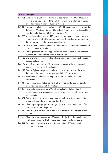| QCR# | Description                                                                         |
|------|-------------------------------------------------------------------------------------|
|      | 142785 When using a Call Flow schema as a destination in the Data Mapper a          |
|      | runtime error was thrown, if the called flow name was identical to some             |
|      | other flow name in another Business Process.                                        |
|      | 142813 The project failed to start, giving the "SAP B1 component does not exist in  |
|      | the project. Magic xpi Server will shutdown." error when the license file           |
|      | had the IBSBO feature with the B1 flag set to Y.                                    |
|      | 142980 In the clustered mode, the HTTP trigger returned an empty response when      |
|      | a request was received by the web requester for the first server, whereas           |
|      | the request was handled by the second server.                                       |
|      | 143104 An SQL query containing the INSTR clause was malformed at runtime and        |
|      | produced incorrect results.                                                         |
|      | 143162 The Gigaspaces services stopped working after Windows 10 Operating           |
|      | System was updated to the Release 15063.138                                         |
|      | 143163 In a SharePoint component, the schema names containing blank spaces          |
|      | caused runtime errors.                                                              |
|      | 143184 In the Data Mapper, an XML destination's output variable contained           |
|      | incorrect names for replicated nodes.                                               |
|      | 143212 The File Splitter component produced incorrect results when the length of    |
|      | the path to the destination folder exceeded 100 characters.                         |
|      | 143266 SSJ service failed when the length of the project name exceeded 27           |
|      | characters.                                                                         |
|      | 143311 The configuration dialog for the .NET Utility connector did not populate the |
|      | list of flow variables with their values.                                           |
|      | 143327 For a Salesforce resource, OAuth2 authentication failed when the             |
|      | Salesforce server was accessed through a proxy server with its own user             |
|      | authentication.                                                                     |
|      | 143357 The Studio crashed when a step referring to flow variables was copied        |
|      | from one flow and pasted into another flow.                                         |
|      | 143572 After migrating a project from Magic xpi 4.5, the user could not define a    |
|      | resource for a user component.                                                      |
|      | 143579 The CallPublic function with a non-character return value caused errors at   |
|      | runtime.                                                                            |
|      | 143591 After migrating a project from Magic xpi 4.1 to 4.6 with a configured        |
|      | .NET component, the .NET configuration screen would not open.                       |
|      | 143592 The name of the variable was not saved in the .NET component                 |
|      | configuration screen.                                                               |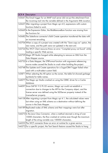| QCR # | Description                                                                       |
|-------|-----------------------------------------------------------------------------------|
|       | 143641 The Email trigger for an IMAP mail server did not put the attachment from  |
|       | the incoming mail into the variable defined in the Arguments XML Location.        |
|       | 143657 After migrating a project from Magic xpi 4.0, expressions with custom      |
|       | functions failed to work.                                                         |
|       | 143669 In the Expression Editor, the BlobRemoveBom function was missing from      |
|       | the functions list                                                                |
|       | 143682 The Salesforce connector's Bulk Create operation transferred the data with |
|       | an incorrect encoding.                                                            |
|       | 143706 When a copy of a project was created with the "Save copy as" option, the   |
|       | new name, and the path were not updated in the start.xml.                         |
|       | 143724 The WCF Client resource threw an error "Compiled proxy not found" while    |
|       | loading a specific Web service.                                                   |
|       | 143729 Magic XPI Studio hanged while attempting to remove an XML from the         |
|       | Data Mapper source.                                                               |
|       | 143732 In a Data Mapper, the STRFormat function with arguments referencing        |
|       | source nodes caused the Studio to crash when building the project.                |
|       | 143748 The Update and Create operations for a SugarCRM Trigger failed when        |
|       | used with a multi-select custom field.                                            |
|       | 143871 When selecting the All option as the owner, the table list showed garbage  |
|       | (symbols) for table names.                                                        |
|       | 144077 The Magic xpi Studio crashed on using the ODBC driver for a Cache          |
|       | database.                                                                         |
|       | 144097 Since SAP B1 9.2 PL 05 version, Magic xpi could not establish a            |
|       | connection due to changes to the API for the Company object, and the              |
|       | license server was defined using the SLDServer property instead of the            |
|       | LicenseServer property.                                                           |
|       | 144158 After migrating a project from Magic xpi 4.1, the calculated values were   |
|       | lost when using an XML schema as a destination without defining the               |
|       | source in the Data Mapper.                                                        |
|       | 144189 Replicated nodes of XML schema and their mappings were lost after          |
|       | migration.                                                                        |
|       | 144273 In the Java Class Connector, when a method returned a string of over       |
|       | 15000 characters, the flow crashed at runtime even though the maximum             |
|       | length of the string variable was 100000 characters.                              |
|       | 144353 The WCF connector threw an error at runtime for a given service.           |
|       | 144372 For a specific project, the Text Search feature caused the Studio to hang. |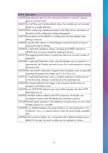| QCR # | Description                                                                                                                                                                      |
|-------|----------------------------------------------------------------------------------------------------------------------------------------------------------------------------------|
|       | 144420 Appending the data from the subsequent Salesforce connector requests<br>gave an incorrect result.                                                                         |
|       | 144431 For Call Flow and Variable default values, the variable was not truncated<br>based on its length definition.                                                              |
|       | 144573 When configuring multiple parameters in the Web service, the buttons at<br>the bottom of the configuration dialog disappeared.                                            |
|       | 144574 Some sections of the MAGIC.ini configuration file were deleted when<br>editing a resource.                                                                                |
|       | 144663 A specific XML schema in a Data Mapper caused the Studio to hang on<br>opening the step for editing.                                                                      |
|       | 144683 In a destination Database schema, changing the INSERT statement to<br>UPDATE and vice versa caused the mapping to be lost.                                                |
|       | 144721 The Logging function threw a runtime error due to an incorrect number of<br>arguments.                                                                                    |
|       | 144749 In a replicated Destination node, when the Mapper was not opened in a<br>separate tab, the Checker returned an error for a valid expression causing<br>the build to fail. |
|       | 144750 The record level's destination mapped node calculations were missing after<br>migrating the projects from Magic xpi 4.1 to 4.5a or 4.6.                                   |
|       | 144751 In a replicated Destination node, a condition expression could not be set<br>on the first node, whereas it could be set on the replicated one.                            |
|       | 144850 The Unload method for the trigger in the Connector Builder threw an<br>exception and failed to work.                                                                      |
|       | 145025 For an HTTP POST method using a Java Web requester, the return HTTP<br>Body data was cut.                                                                                 |
|       | 145090 In the REST method called by the HTTP component, the header was<br>truncated at runtime when the Header Set contained a comma.                                            |
|       | 145148 The Bulk Upsert operation in the Salesforce connector threw an error when<br>multiple projects ran in parallel.                                                           |
|       | 145259 For an MSSQL database, the project failed to run and displayed an "Out<br>of Memory" error, in a special scenario when the record length exceeded<br>32K.                 |
|       | 145290 In the Connector Builder, for a component with a Method interface set as<br>default for the step, the result variable was not updated at runtime.                         |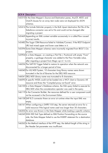| QCR # | Description                                                                           |
|-------|---------------------------------------------------------------------------------------|
|       | 145310 In the Data Mapper's Source and Destination panes, AnyOf, AllOf, and           |
|       | OneOf clauses for an array item node were not displayed for JSON                      |
|       | schemas.                                                                              |
|       | 145416 The Include Delimiter property in the Bulk Upsert destination flat file of the |
|       | Salesforce connector was set to No and could not be changed after                     |
|       | migrating a project.                                                                  |
|       | 145469 Appending an XML context variable successively in a called flow caused         |
|       | incorrect results.                                                                    |
|       | 145482 The Sugar CRM Resource failed to Validate/Connect, if the REST Endpoint        |
|       | URL had mixed upper and lower case letters in it.                                     |
|       | 145594 Some Data Mapper schemas were incorrectly migrated from IBOLT 3.2a             |
|       | projects.                                                                             |
|       | 145904 In a Data Mapper, on creating a Flat File > Positional with empty "From"       |
|       | property, a garbage character was added to the Flow Variable value,                   |
|       | after migrating a project from Magic xpi 4.1 to 4.6.                                  |
|       | 146036 The SAP R3 Trigger failed to restore its operation when the network was        |
|       | disconnected for a longer period of time.                                             |
|       | 146040 For AS/400 System, 10 characters long library names were shown                 |
|       | truncated in the list of libraries for the DB2/400 resource.                          |
|       | 146041 DB2/400 Library name was truncated to 8 characters.                            |
|       | 146093 A specific WSDL could not be loaded into a WCF client or Dynamic AX            |
|       | resource and threw the "Compiled proxy not found" error.                              |
|       | 146100 In a Data Mapper's Database schema, the SQL query failed to execute for        |
|       | DB2/400 when the concatenation operator was used in the query.                        |
|       | 146119 In the Connector Builder, the resources defined for a user component could     |
|       | not be accessed in the Environment Editor.                                            |
|       | 146158 SAP R/3 connector threw an error at runtime when the input XML was             |
|       | empty.                                                                                |
|       | 146161 When configuring a SAPB1 8.8 step, the server returned an error for a          |
|       | valid resource if the logical name used was longer than 30 characters.                |
|       | 146202 An error was thrown in the Data Mapper while loading a specific schema.        |
|       | 146245 With XSD Sub Type defined as XML Position Forwarding on the source             |
|       | side, the Data Mapper failed to use the INSERT statement for a destination            |
|       | database.                                                                             |
|       | 146262 In the Method interface of the HTTP step, the default length of the string in  |
|       | the Header Set parameter was insufficient.                                            |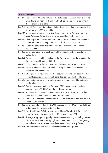| QCR # | Description                                                                          |
|-------|--------------------------------------------------------------------------------------|
|       | 146277 The Replicate All Data method of the Salesforce connector threw a runtime     |
|       | error due to an incorrect definition of SObjectType and Field columns in             |
|       | the FieldPermissions table.                                                          |
|       | 146230 The HTTP response did not contain the status code when HttpFramework =        |
|       | D was set in the MAGIC.ini file.                                                     |
|       | 146291 In the documentation for the Salesforce component's XML interface, the        |
|       | setRefbyExternalId function was not excluded from bulk operations.                   |
|       | 146296 After migration, the Data Mapper threw an error, "Some of the schema's        |
|       | data does not exist or might be invalid", for a specific scenario.                   |
|       | 146332 When the Salesforce step returned an error at runtime, the resulting XML      |
|       | was incorrect.                                                                       |
|       | 146333 When migrating the project, some of the variables did not pass to the         |
|       | called flow.                                                                         |
|       | 146342 The Select schema file input line, in the Data Mapper, for the selection of a |
|       | file had an insufficient height for long paths.                                      |
|       | 146380 For a date field in the Data Mapper, the custom format was not saved.         |
|       | 146381 When a scheduled flow was enabled using the Enable Flow utility, the          |
|       | scheduler was called twice.                                                          |
|       | 146494 Changing the default paths for the Resources.xml and Services.xml in the      |
|       | Project Properties caused the entries to duplicate and the build to fail.            |
|       | 146569 The Studio crashed when a Data Mapper's source referred to an invalid         |
|       | JSON schema.                                                                         |
|       | 146641 The Update operation in the Dynamics CRM component returned an                |
|       | incorrect result XML BLOB with the duplicated nodes.                                 |
|       | 146693 In the FTP and Directory Scanner connectors, SFTP HMACs such as hmac-         |
|       | sha2-512 and hmac-sha2-256 were not supported.                                       |
|       | 146747 The WCF Client connector returned a runtime error for a valid request to a    |
|       | specific Web service.                                                                |
|       | 146852 When trying to validate the SAPB1 resource with MS SQL Server 2016 as         |
|       | a database, the resource didn't validate.                                            |
|       | 146759 The Data Mapper's SQL wizard resulted in an "Invalid SQL Statement"           |
|       | error if a table name contained the SQL reserved word SET.                           |
|       | 146816 A Magic xpi project stopped processing with a warning in the log "Server      |
|       | Status is ON HOLD" causing high memory consumption and CPU getting                   |
|       | maxed when Magic Monitor was left open on both the App Servers.                      |
|       | 146868 The performance of a WCFClient component was degraded.                        |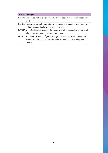| QCR# | Description                                                                       |
|------|-----------------------------------------------------------------------------------|
|      | 146978 The project failed to start when the Resources.xml file was in a read-only |
|      | mode.                                                                             |
|      | 147003 The Magic xpi Debugger did not recognize a breakpoint and therefore,       |
|      | did not suspend the flow in a specific project.                                   |
|      | 147319 In the Exchange connector, the query operation returned an empty result    |
|      | when a folder name contained blank spaces.                                        |
|      | 147456 In the WCF Client configuration page, the Service URL containing %20       |
|      | instead of a blank space caused an error at the time of loading the               |
|      | service.                                                                          |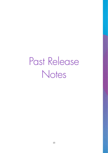Past Release Notes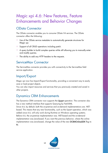# Magic xpi 4.6: New Features, Feature Enhancements and Behavior Changes

# OData Connector

The OData connector enables you to consume OData V4 services. The OData connector offers the following:

- Use of the OData service metadata to automatically generate structures for Magic xpi.
- **Support of all CRUD operations including patch.**
- <sup>2</sup> A query builder to build complex queries while still allowing you to manually enter and modify queries.
- $\degree$  The ability to add any HTTP headers to the requests.

#### ServiceMax Connector

The ServiceMax connector provides you with connectivity to the ServiceMax field service application.

# Import/Export

Magic xpi now has Import/Export functionality, providing a convenient way to easily save or load project objects.

You can also import resources and services that you previously created and saved in other projects.

# Dynamics CRM Enhancements

The Dynamics CRM connector now supports the Upsert operation. The connector also has a new method interface that supports Querying by FetchXML.

Since 4.6, by default, both the on-premise and on-demand implementations are .NETbased. This means that any new functionality, such as the Upsert operation, which was added since 4.6, will only work during Runtime on Windows operating systems. Before 4.6, the on-premise implementation was .NET-based and the on-demand implementation was Java-based. If you want the previous behavior, where the online implementation was Java-based, change the value of the new DCRMOnlineSDK flag to N.

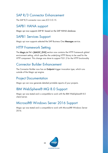# SAP R/3 Connector Enhancement

The SAP R/3 connector now uses JCO 3.0.15.

# SAPB1 HANA support

Magic xpi now supports SAP B1 based on the SAP HANA database.

# SAPB1 Services Support

Magic xpi now supports selected the SAP Business One Messages service.

# HTTP Framework Setting

The Magic.ini file's [MAGIC\_ENV] section now contains the HTTP Framework global environment setting, which specifies the underlying HTTP library to be used for the HTTP component. This change was done to support TLS1.2 for the HTTP functionality

# Connector Builder Enhancement

The Connector Builder now has an Endpoint trigger invocation type, which runs outside of the Magic xpi engine.

# Project Documentation

Magic xpi can now generate detailed printable reports of your projects.

# IBM WebSphere® MQ 8.0 Support

Magic xpi was tested and is compatible to work with the IBM WebSphere® 8.0 client/server.

# Microsoft® Windows Server 2016 Support

Magic xpi was tested and is compatible to work with Microsoft® Windows Server 2016.

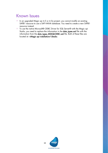# Known Issues

- $\degree$  In an upgraded Magic xpi 4.5 or 4.5a project, you cannot modify an existing SAPB1 resource to use a SAP HANA database. You need to create a new SAPB1 resource instead.
- To use the native Microsoft® ODBC Driver for SQL Server® with the Magic xpi Studio, you need to replace the information in the data\_types.xml file with the information from the data\_types\_MSSQLODBC.xml file. Both of these files are located at: <Magic xpi installation>\Studio.

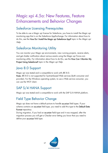# Magic xpi 4.5a: New Features, Feature Enhancements and Behavior Changes

# Salesforce Licensing Prerequisites

To be able to use a Magic xpi license for Salesforce, you have to install the Magic xpi monitoring app that is on the Salesforce AppExchange. For information about how to do this, see the How Do I Install the Magic xpi Salesforce App? topic in the Magic xpi Help.

# Salesforce Monitoring Utility

You can monitor your Magic xpi environments, view running projects, receive alerts, and get chatter notification about various events using the Magic xpi Force.com monitoring utility. For information about how to do this, see the How Can I Monitor My Project Using Salesforce? topic in the Magic xpi Help.

# Java 8.0 Support

Magic xpi was tested and is compatible to work with JRE 8.0. Note: JRE 8.0 is not supported for Systinet-based Web services (both consumer and provider). For the Windows operating system, to use a Web service consumer, you can use the WCF client.

# SAP S/4 HANA Support

Magic xpi was tested and is compatible to work with the SAP S/4 HANA platform.

# Field Type Behavior Change

Magic xpi does not have a default picture to handle xs:union field types. If your schema contains an xs:union field type, you need to add this type to the Default Data Format repository.

During migration, if you had an xs:union field type and it was mapped, after the migration process you will get a Checker error letting you know that you need to define your xs:union field type.

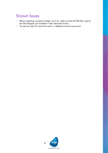# Known Issues

- Before migrating a project to Magic xpi 4.5a, make sure that all XSD files used by the Data Mapper are available in their declared location.
- The percent sign (%) cannot be used in a database resource password.

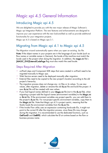# Magic xpi 4.5 General Information

# Introducing Magic xpi 4.5

We are delighted to provide you with the new major release of Magic Software's Magic xpi Integration Platform. The new features and enhancements are designed to improve your user experience with the new look-and-feel as well as provide additional functionality for your integration projects.

Magic xpi 4.5 is based on Magic xpa 3.1.

# Migrating from Magic xpi 4.1 to Magic xpi 4.5

The Migration wizard automatically opens when you open an existing .ibs file. Note: If the object names in your projects are in the language of your locale (such as flow names or variable names in German), the locale of the machine must match the locale used in the project when doing the migration. In addition, the magic.ini file's [MAGIC\_ENV]ExternalCodePage flag must also match the used locale.

#### Steps Required After Migration

- uniPaaS steps and Component SDK steps that were created in uniPaaS need to be migrated manually to Magic xpa.
- **E** Web Service servers need to be deployed manually after migration.
- **2** External files need to be copied to the new project's location according to the old project's hierarchy.
- The migration process does not change any .ini files or its values. To use new values, after migration, delete or rename the old ifs.ini file and build the project. A new ifs.ini file will be created with new values.
- $\bullet$ If you had logical names defined in your Magic.ini file (not in the ifs.ini file), when migrating a project add the logical names (environment variables) to the Magic.ini or ifs.ini file. If the environment variables are project specific, you can add them to the project's ifs.ini file. For non-project specific environment variables, copy them to the Magic.ini file. Note that Magic xpi 4.5 is project centric, meaning that the Studio loads the environment variables from the ifs.ini file.
- <sup>2</sup> If the Invoke Flow utility uses an expression containing hard-code IDs, it might not point to the correct ID after the migration process, since these IDs may change during the migration. It is recommended to use the dedicated functions, such as GetFlowID and GetBPID, which calculate the ID at runtime based on the flow or business process name.

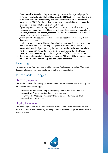- <sup>2</sup> If the SpecialExpReturnNull flag is not already present in the migrated project's ifs.ini file, you should add it to that file's [MAGIC\_SPECIALS] section and set it to Y to maintain backward compatibility with projects created in earlier versions of Magic xpi or iBOLT. This flag maintains backward compatibility when comparing a variable that has a Null value to an empty value.
- $\degree$  If your migrated project has any user-defined components, the folder containing them must be copied from its old location to the new location. Any changes to the Resource\_types.xml and Service\_types.xml files that are connected to user-defined components must be done manually.
- **2** JD Edwards World resource definitions should be updated with a library if such definitions do not exist.
- **2** The JD Edwards Enterprise One configuration has been simplified and now uses a dedicated class loader. It is no longer required to list all of the jar files in the Magic.ini classpath. If you are using the new class loader, make sure to exclude the j2ee1\_3.jar from the jar folder. Refer to the Configuring the JD Edwards Enterprise One Connector topic in the *Magic xpi Help* for specific instructions.
- Due to major changes in the Salesforce metadata API, you will have to reconfigure the Metadata CRUD method's Update and Delete operations.

#### **Licensing**

To use Magic xpi 4.5, you need to obtain version 4.x licenses. To obtain Magic xpi licenses, please contact your local Magic Software representative.

# Prerequisite Changes

#### .NET Framework

The Studio module of Magic xpi is based on the .NET Framework. The following .NET Framework requirements apply:

- **E** To develop an application using the Magic xpi Studio, you must have .NET Framework V4.0 (or above) installed on your machine.
- For Runtime, the Magic xpi In-Memory Data Grid requester requires .NET Framework V4.0 (or above).

#### Studio Installation

The Magic xpi Studio is based on Microsoft Visual Studio, which cannot be started from a network folder. Therefore, it is not possible to start the Magic xpi Studio from a network folder.

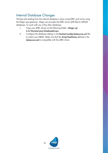# Internal Database Changes

Writing and reading from the internal database is done using JDBC and not by using the Magic xpa gateways. Magic xpi provides the JDBC driver (JAR file) for MSSQL databases. To work with any of the other databases:

- 1. Copy your JDBC drivers to the following folder: <Magic xpi
	- 4.5>\Runtime\java\DatabaseDrivers.
- 2. Configure the database settings in the Runtime\config\datasource.xml file to match your DBMS. Make sure that the driverClassName defined in the datasource.xml is compatible with the JDBC driver.

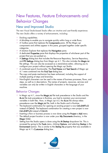# New Features, Feature Enhancements and Behavior Changes

# New and Improved Studio

The new Visual Studio-based Studio offers an intuitive and user-friendly experience. The new Studio offers a variety of enhancements, including:

- Docking capabilities.
- **A** MiniMap to enable you to navigate quickly within long or wide flows.
- A Toolbox pane that replaces the Components pane. All the Magic xpi components and utilities appear in this pane, grouped together under specific categories.
- A Solution Explorer that replaces the Navigation pane.
- <sup>o</sup> A dedicated Properties pane that displays the properties of whichever part of the project that you are parked on.
- A Settings dialog box that includes the Resource Repository, Service Repository, and IFS Settings dialog box from Magic xpi 4.1. This also includes the Magic.ini file settings. This can also be accessed as a stand-alone editor, allowing you to configure your project without opening the Magic xpi Studio.
- A combined search functionality. The Find Name and Text Search of Magic xpi 4.1 were combined into the **Find Text** dialog box.
- $\degree$  The copy and paste mechanism has been enhanced, including the support of multiple pasting of steps and branches.
- Non-English characters can be used in the names of business processes, flows, and steps, as well as in descriptions. The names of projects, resources, services and variables can only be written in English characters or the language of your machine.

#### Behavior Changes

- In Magic xpi 4.1, since the **Magic.ini** file took precedence in the Studio and the ifs.ini file took precedence in Runtime, you had to maintain your environment variables in both files. Now, in Magic xpi 4.5, the ifs.ini file always takes precedence over the Magic.ini file, both in the Studio and in Runtime.
- <sup>2</sup> The keyboard combination for opening an existing project is now Ctrl+SHIFT+O instead of Ctrl+O. The keyboard combination for creating a new project is now Ctrl+SHIFT+N instead of Ctrl+N.
- **2** Inserting a flow or business process is now done using the **Project > Add** menu.
- **2** The default project location is now under your My Documents directory, in the Magic folder.
- Setting how the Studio opens is done using the At Startup drop-down list. This is accessed by going to the Tools menu, clicking Options, and selecting Startup in the Environment section. This is similar to the Startup As property that was available in Magic xpi 4.1's Customize dialog box.

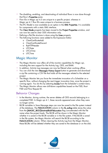- $\overline{\phantom{a}}$ The disabling, enabling, and deactivating of individual flows is now done through that flow's Properties pane.
- $\degree$  Flow IDs in Magic xpi 4.5 are unique to a specific project, whereas in Magic xpi 4.1 flow IDs were unique to a business process.
- $\bullet$ The IFC Model is now available as an option in the XML Properties. It is available for components with a static XML interface.
- **The Clear Mode** property has been moved to the **Project Properties** window, and can now be used to clear ODS information only.
- Defining a flat file structure is done using the Lines property.
- $\bullet$ The following functions were added to the Expression Editor:
	- o ClientCertificateAdd
	- o ClientCertificateDiscard
	- o RqHTTPHeader
	- o UTCDate
	- o UTCmTime
	- o UTCTime

# Magic Monitor

- <sup>2</sup> The Magic Monitor now offers all of the monitor capabilities for Magic xpi, including the new support for the Activity Log, ODS, and BAM.
- In addition, Activity Log messages can now be filtered when working offline.
- <sup>o</sup> You can click the new Messages History Export button to generate and download a zip file containing a CSV file that holds all the messages related to the selected project.
- The Magic Monitor lets you force the immediate invocation of a Scheduler on a specific flow, without changing the next trigger invocation time, once the project is running again. You do this by selecting Invoke from the Scheduler's context menu.
- The Magic Monitor allows new drill-down capabilities based on the FSID, Root FSID and Flow Request ID.

#### Behavior Changes

- In the Monitor, during runtime, the server deletes all ODS records belonging to a completed FSID. In Magic xpi 4.1, these records appeared even when they were no longer active.
- <sup>2</sup> BLOB variables in Save Message steps can now be saved to the file system instead of the database. The FILELOCATION column in the ifs\_actlog table stores the value from the [MAGIC\_IBOLT]ActivityBlobFileLocation flag concatenated with the file name when the project loads. The BLOB will be shown in the Magic Monitor whether it is saved in the BLOB variable or in the file system. If the BLOB is saved in the file system, the Magic Monitor will search the BLOB according to the FILELOCATION column. When clearing the Activity Log from the Magic Monitor, these BLOBs will be deleted whether they are saved to the database or on the disk.

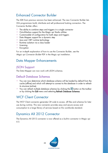# Enhanced Connector Builder

The SDK from previous versions has been enhanced. The new Connector Builder lets 3GL programmers build, distribute and sell professional looking connectors. The Connector Builder offers:

- $\bullet$ The ability to combine steps and triggers in a single connector
- $\bullet$ Out-of-the-box support for the Magic xpi Studio utilities
- $\bullet$ Customizable UI configuration for both steps and triggers
- **2** Data Mapper support for a dynamic step
- **2** Java and .NET runtime technology
- **P** Runtime isolation via a class loader
- $\frac{6}{2}$  Licensing
- <sup>o</sup> Encryption

For an in-depth explanation of how to use the Connector Builder, see the Magic xpi Connector Builder PDF in the Magic xpi installation.

# Data Mapper Enhancements

## JSON Support

The Data Mapper can now work with JSON schemas.

#### Default Database Schemas

- You can now determine which database schema will be loaded by default from the cache (offline) and which will attempt to connect to the database in order to refresh its structure (online).
- $\degree$  You can refresh multiple database schemas by clicking the  $\degree$  button on the toolbar or by clicking the Edit menu and selecting Refresh Database Schemas.

# WCF Client Connector

The WCF Client connector generates C# code to access .dll files and schemas for later use during runtime. This new connector provides easy and secure access and consumption to a large library of services based on this worldwide standard.

# Dynamics AX 2012 Connector

The Dynamics AX 2012 connector is now offered as a built-in connector in Magic xpi 4.5.

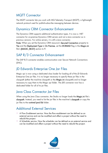# MQTT Connector

The MQTT connector lets you work with MQ Telemetry Transport (MQTT), a lightweight network protocol used for publish-subscribe messaging between devices.

# Dynamics CRM Connector Enhancement

The Dynamics CRM supports additional authentication types. It is now a .NET connector for on-premise Dynamics CRM servers and not a Java connector as in previous versions. For online servers, it is still a Java connector.

Note: When you set the Dynamics CRM resource's Secured Connection property to Yes and the Deployment Type to On Premise, set the DCRMAD flag in the Magic.ini file's [MAGIC\_IBOLT] section to Y.

# SAP R/3 Connector Enhancement

The SAP R/3 connector enables communication over Secure Network Connections (SNC).

# JD Edwards Enterprise One Jar Files

Magic xpi is now using a dedicated class loader for loading all of the JD Edwards Enterprise One jar files. It is no longer necessary to specify these jar files in the classpath (either the machine classpath or the Magic.ini classpath) and no longer necessary to copy them to the Magic xpi folder. The JDE connector now has a dedicated folder for all of its jar files.

# Java Class Connector Jar Files

When using the Java Class connector, the Studio no longer loads the Magic.ini file's classpath. Instead, you need to list the jar files in the machine's classpath or copy the jar files to the runtime\java\lib folder.

# Additional External Services

- A Flow Enablement service. Now the flow enablement can be defined as an external service and can be modified and affect a project without the need to rebuild the project.
- A Scheduler service. Now the scheduler can be defined as an external service and can be modified and affect a project without the need to rebuild the project.

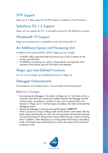# SFTP Support

Magic xpi 4.5 offers support for the SFTP protocol in addition to the FTP protocol.

# Salesforce TLS 1.2 Support

Magic xpi now supports the TLS 1.2 encryption protocol for the Salesforce connector.

# Windows® 10 Support

Magic xpi was tested and is compatible to work with Windows® 10.

# An Additional Space and Processing Unit

In addition to the existing MAGIC\_SPACE, Magic xpi now includes

- A MAGIC\_INFO space that holds the Activity Log as well as statistics for the monitor and ODS data.
- $\bullet$ An MGMirror processing unit, which is responsible for managing the write operation of the Activity Log and ODS data to the database.

# Magic xpa User-Defined Functions

You can now use Magic xpa user-defined functions in Magic xpi.

# Debugger Enhancements

The Breakpoints and Suspends pane is now accessible during development.

#### Behavior Changes

- Reconnecting the Debugger in the Studio: In Magic xpi 4.5, the Studio will try to reconnect when there are connectivity problems between the Debugger and the runtime project, according to a number of rules, such as several retries and timeouts. In Magic xpi 4.1, for these types of problems, the Studio terminated the debugging session.
- Starting the Debugger is done by pressing F5 instead of SHIFT+F7.
- **When a project is running in Debug mode and the Studio is terminated, after the** Studio stops publishing that it is alive, the running project will terminate internally. This prevents projects in debug mode running without having a studio controlling them. In addition, when attaching to a running project and moving it into Debug mode, if the Studio stops publishing that it is alive, the project will move back to production mode.

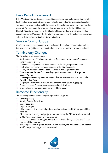# Error Retry Enhancement

If the Magic xpi Server does not succeed in executing a step before reaching the retry limit, the last error received is now automatically held in the C.sys.ErrorCode context variable. This gives you the ability to check, in the next step's condition, if an error has occurred. You can clear the error from the variable by using the ifs.ini file's new StepRetryClearError flag. Setting the StepRetryClearError flag to Y will give you the same behavior as Magic xpi 4.1 In addition, you can control the delay between retries with the ifs.ini file's new StepRetryDelayTnSec flag.

# Version Control Usage

Magic xpi supports version control for versioning. If there is a change to the project tree you need to get the entire project using the Version Control provider's Explorer.

# Terminology Changes

The following terms were changed:

- Services to utilities: This is referring to the Services that were in the Components pane in Magic xpi 4.1.
- The uniPaaS component has been renamed to the Magic xpa component.
- The System i connector has been renamed to the IBM i connector.
- The SugarCRM connector has been renamed to the Sugar connector.
- **The Always use the new Picture** node property was renamed to Always Use Custom Picture.
- <sup>2</sup> The Exception Handling Flow property in database destinations was renamed to Error Handling Flow.
- <sup>o</sup> The project's executable extension was changed from .ibs to .mgxpiproj.
- Compound Level Computation is now called Multi Update.
- **2** Cross Reference has been renamed to Find Reference.

#### Removed Functionality

The following features are no longer supported in Magic xpi:

- Rights Repository
- $\bullet$ Security Groups Repository
- **e** Users Repository
- **Project Packager**
- COM component: In migrated projects, during runtime, the COM triggers will be removed.
- <sup>e</sup> EJB component: In migrated projects, during runtime, the EJB steps will be treated as NOP steps and triggers will be removed.
- Domino component as a trigger: In migrated projects, during runtime, the Domino triggers will be removed.
- <sup>o</sup> W4 component: In migrated projects, during runtime, the W4 steps will be treated as NOP steps and triggers will be removed.

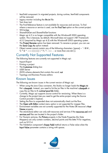- $\overline{\phantom{a}}$ ItemField component: In migrated projects, during runtime, ItemField components will be removed.
- **Legacy monitor including the ifm.ini file**
- **2** Text Area tool
- The Find Reference feature is not available for resources and services. To find where a resource or service is used, use the **Find Text** option on the current project.
- **e** WS bridge
- $\bullet$ SharedValGet and SharedValSet functions
- Magic xpi 4.5 is no longer compatible with the Windows® 2003 operating system. This is because, by default, Microsoft does not support .NET Framework 4.5.2 (required by Magic xpi 4.5) with the Windows® 2003 operating system.
- The Project Rename option has been removed. To rename a project, you can use the Save Copy As option instead.
- $\degree$  Object names cannot contain any of the following characters: [space]  $\sim$   $\degree$  ! @ #, % ^ & \* - = + () { } [ ] | " ? / \ < > ; or more than one dot (.).

#### Currently Not Supported Features

The following features are currently not supported in Magic xpi:

- $\bullet$ Import/Export
- Printing a project
- The Customize dialog box
- **<u>•</u>** UDDI Server
- **2** JSON schema elements that contain the word: not
- **P** Topology and Business Process editors

#### Known Issues

The following are known issues in the current version of Magic xpi:

- When using the Java Class connector, the Studio no longer loads the Magic.ini file's classpath. Instead, you need to list the jar files in the machine's classpath or copy the jar files to th runtime\java\lib folder.
- <sup>2</sup> Currently, Magic xpi supports source control for versioning. When there is a change to the project tree you need to get the entire project using the Source Control provider's Explorer.
- <sup>2</sup> Setting the flow to suspended does not automatically check out the flow.
- <sup>2</sup> The Open with Editor context menu option is not supported for mapper files.
- **2** Environment variables are not currently supported for the Notes DB resource's Host Name property.
- <sup>2</sup> The stand-alone editor can only edit resources and services if the resources.xml and services.xml files are located in the project's folder.
- **E** For Numeric pictures, the Picture property in the Node Properties (for Data Mappers) can only contain numbers, decimal points and the letter N for negatives, such as N12.4.
- $\bullet$ The Validation component's Empty Field method returns a False value when the Input Value parameter contains a string with spaces.